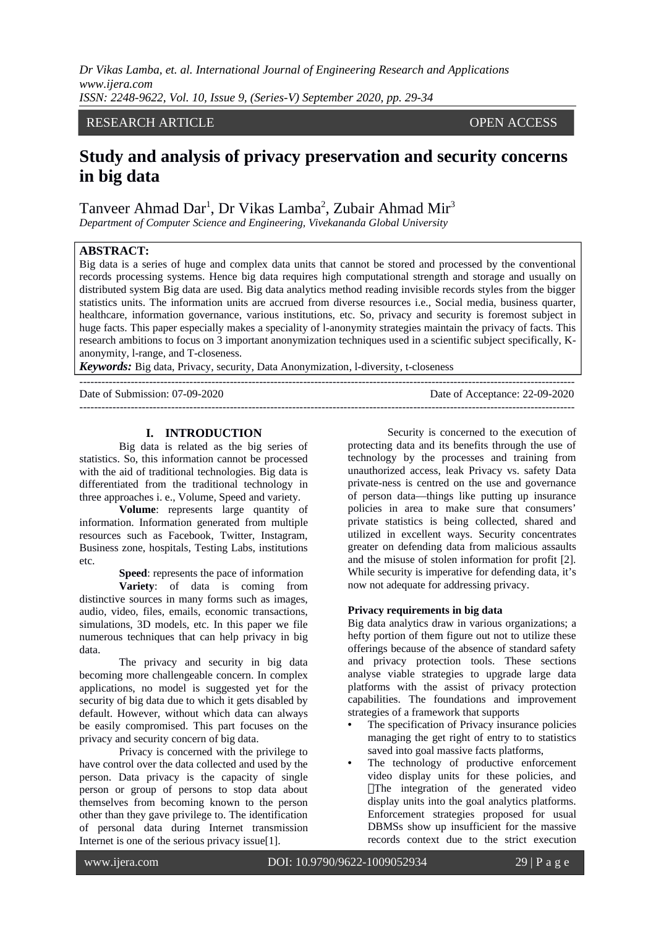*Dr Vikas Lamba, et. al. International Journal of Engineering Research and Applications www.ijera.com ISSN: 2248-9622, Vol. 10, Issue 9, (Series-V) September 2020, pp. 29-34*

# RESEARCH ARTICLE OPEN ACCESS

# **Study and analysis of privacy preservation and security concerns in big data**

Tanveer Ahmad Dar<sup>1</sup>, Dr Vikas Lamba<sup>2</sup>, Zubair Ahmad Mir<sup>3</sup>

*Department of Computer Science and Engineering, Vivekananda Global University*

## **ABSTRACT:**

Big data is a series of huge and complex data units that cannot be stored and processed by the conventional records processing systems. Hence big data requires high computational strength and storage and usually on distributed system Big data are used. Big data analytics method reading invisible records styles from the bigger statistics units. The information units are accrued from diverse resources i.e., Social media, business quarter, healthcare, information governance, various institutions, etc. So, privacy and security is foremost subject in huge facts. This paper especially makes a speciality of l-anonymity strategies maintain the privacy of facts. This research ambitions to focus on 3 important anonymization techniques used in a scientific subject specifically, Kanonymity, l-range, and T-closeness.

*Keywords:* Big data, Privacy, security, Data Anonymization, l-diversity, t-closeness

Date of Submission: 07-09-2020 Date of Acceptance: 22-09-2020

--------------------------------------------------------------------------------------------------------------------------------------- ---------------------------------------------------------------------------------------------------------------------------------------

### **I. INTRODUCTION**

Big data is related as the big series of statistics. So, this information cannot be processed with the aid of traditional technologies. Big data is differentiated from the traditional technology in three approaches i. e., Volume, Speed and variety.

**Volume**: represents large quantity of information. Information generated from multiple resources such as Facebook, Twitter, Instagram, Business zone, hospitals, Testing Labs, institutions etc.

**Speed**: represents the pace of information

**Variety**: of data is coming from distinctive sources in many forms such as images, audio, video, files, emails, economic transactions, simulations, 3D models, etc. In this paper we file numerous techniques that can help privacy in big data.

The privacy and security in big data becoming more challengeable concern. In complex applications, no model is suggested yet for the security of big data due to which it gets disabled by default. However, without which data can always be easily compromised. This part focuses on the privacy and security concern of big data.

Privacy is concerned with the privilege to have control over the data collected and used by the person. Data privacy is the capacity of single person or group of persons to stop data about themselves from becoming known to the person other than they gave privilege to. The identification of personal data during Internet transmission Internet is one of the serious privacy issue[1].

Security is concerned to the execution of protecting data and its benefits through the use of technology by the processes and training from unauthorized access, leak Privacy vs. safety Data private-ness is centred on the use and governance of person data—things like putting up insurance policies in area to make sure that consumers' private statistics is being collected, shared and utilized in excellent ways. Security concentrates greater on defending data from malicious assaults and the misuse of stolen information for profit [2]. While security is imperative for defending data, it's now not adequate for addressing privacy.

## **Privacy requirements in big data**

Big data analytics draw in various organizations; a hefty portion of them figure out not to utilize these offerings because of the absence of standard safety and privacy protection tools. These sections analyse viable strategies to upgrade large data platforms with the assist of privacy protection capabilities. The foundations and improvement strategies of a framework that supports

- The specification of Privacy insurance policies managing the get right of entry to to statistics saved into goal massive facts platforms,
- The technology of productive enforcement video display units for these policies, and The integration of the generated video display units into the goal analytics platforms. Enforcement strategies proposed for usual DBMSs show up insufficient for the massive records context due to the strict execution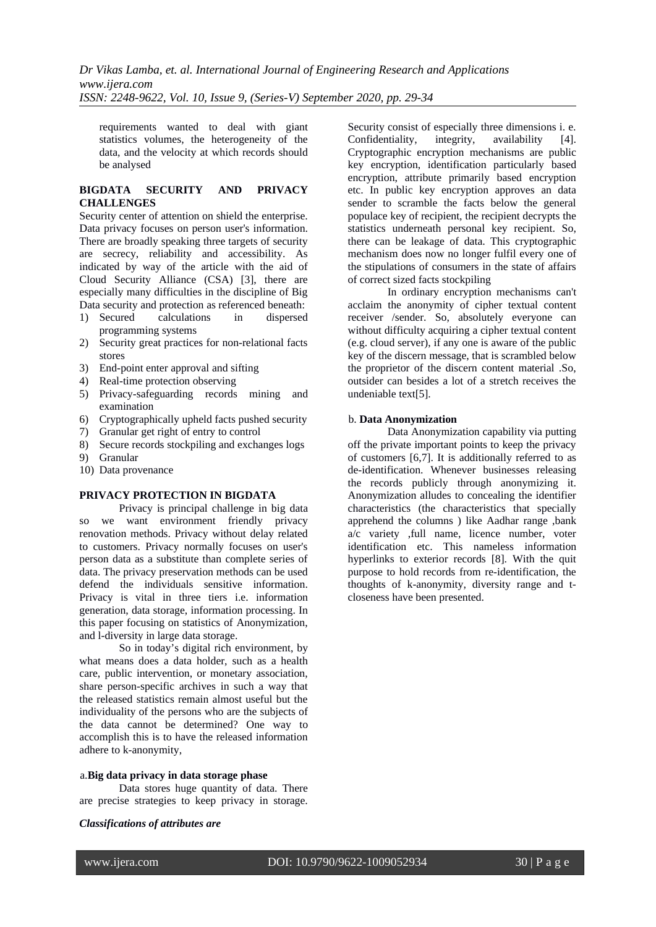requirements wanted to deal with giant statistics volumes, the heterogeneity of the data, and the velocity at which records should be analysed

#### **BIGDATA SECURITY AND PRIVACY CHALLENGES**

Security center of attention on shield the enterprise. Data privacy focuses on person user's information. There are broadly speaking three targets of security are secrecy, reliability and accessibility. As indicated by way of the article with the aid of Cloud Security Alliance (CSA) [3], there are especially many difficulties in the discipline of Big Data security and protection as referenced beneath:

- 1) Secured calculations in dispersed programming systems
- 2) Security great practices for non-relational facts stores
- 3) End-point enter approval and sifting
- 4) Real-time protection observing
- 5) Privacy-safeguarding records mining and examination
- 6) Cryptographically upheld facts pushed security
- 7) Granular get right of entry to control
- 8) Secure records stockpiling and exchanges logs
- 9) Granular
- 10) Data provenance

## **PRIVACY PROTECTION IN BIGDATA**

Privacy is principal challenge in big data so we want environment friendly privacy renovation methods. Privacy without delay related to customers. Privacy normally focuses on user's person data as a substitute than complete series of data. The privacy preservation methods can be used defend the individuals sensitive information. Privacy is vital in three tiers i.e. information generation, data storage, information processing. In this paper focusing on statistics of Anonymization, and l-diversity in large data storage.

So in today's digital rich environment, by what means does a data holder, such as a health care, public intervention, or monetary association, share person-specific archives in such a way that the released statistics remain almost useful but the individuality of the persons who are the subjects of the data cannot be determined? One way to accomplish this is to have the released information adhere to k-anonymity,

#### a.**Big data privacy in data storage phase**

Data stores huge quantity of data. There are precise strategies to keep privacy in storage.

#### *Classifications of attributes are*

Security consist of especially three dimensions i. e. Confidentiality, integrity, availability [4]. Cryptographic encryption mechanisms are public key encryption, identification particularly based encryption, attribute primarily based encryption etc. In public key encryption approves an data sender to scramble the facts below the general populace key of recipient, the recipient decrypts the statistics underneath personal key recipient. So, there can be leakage of data. This cryptographic mechanism does now no longer fulfil every one of the stipulations of consumers in the state of affairs of correct sized facts stockpiling

In ordinary encryption mechanisms can't acclaim the anonymity of cipher textual content receiver /sender. So, absolutely everyone can without difficulty acquiring a cipher textual content (e.g. cloud server), if any one is aware of the public key of the discern message, that is scrambled below the proprietor of the discern content material .So, outsider can besides a lot of a stretch receives the undeniable text[5].

#### b. **Data Anonymization**

Data Anonymization capability via putting off the private important points to keep the privacy of customers [6,7]. It is additionally referred to as de-identification. Whenever businesses releasing the records publicly through anonymizing it. Anonymization alludes to concealing the identifier characteristics (the characteristics that specially apprehend the columns ) like Aadhar range ,bank a/c variety ,full name, licence number, voter identification etc. This nameless information hyperlinks to exterior records [8]. With the quit purpose to hold records from re-identification, the thoughts of k-anonymity, diversity range and tcloseness have been presented.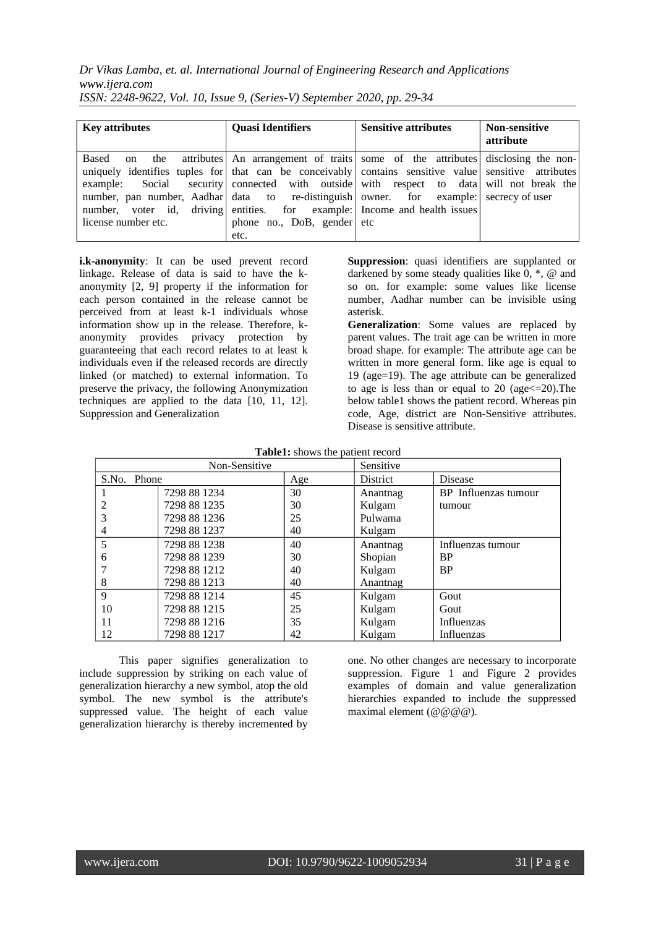*Dr Vikas Lamba, et. al. International Journal of Engineering Research and Applications www.ijera.com ISSN: 2248-9622, Vol. 10, Issue 9, (Series-V) September 2020, pp. 29-34*

| <b>Key attributes</b>                                                                                        | <b>Quasi Identifiers</b>                                                       | <b>Sensitive attributes</b> | Non-sensitive<br>attribute |
|--------------------------------------------------------------------------------------------------------------|--------------------------------------------------------------------------------|-----------------------------|----------------------------|
| Based<br>the<br>on.                                                                                          | attributes An arrangement of traits some of the attributes disclosing the non- |                             |                            |
| uniquely identifies tuples for $\vert$ that can be conceivably contains sensitive value sensitive attributes |                                                                                |                             |                            |
| example: Social security connected with outside with respect to data will not break the                      |                                                                                |                             |                            |
| number, pan number, Aadhar data to re-distinguish owner. for example: secrecy of user                        |                                                                                |                             |                            |
| number, voter id, driving entities. for example: Income and health issues                                    |                                                                                |                             |                            |
| license number etc.                                                                                          | phone no., DoB, gender etc                                                     |                             |                            |
|                                                                                                              | etc.                                                                           |                             |                            |

**i.k-anonymity**: It can be used prevent record linkage. Release of data is said to have the kanonymity [2, 9] property if the information for each person contained in the release cannot be perceived from at least k-1 individuals whose information show up in the release. Therefore, kanonymity provides privacy protection by guaranteeing that each record relates to at least k individuals even if the released records are directly linked (or matched) to external information. To preserve the privacy, the following Anonymization techniques are applied to the data [10, 11, 12]. Suppression and Generalization

**Suppression**: quasi identifiers are supplanted or darkened by some steady qualities like  $0, *$ ,  $\varpi$  and so on. for example: some values like license number, Aadhar number can be invisible using asterisk.

**Generalization**: Some values are replaced by parent values. The trait age can be written in more broad shape. for example: The attribute age can be written in more general form. like age is equal to 19 (age=19). The age attribute can be generalized to age is less than or equal to 20 (age<=20).The below table1 shows the patient record. Whereas pin code, Age, district are Non-Sensitive attributes. Disease is sensitive attribute.

| Table1: shows the patient record |  |
|----------------------------------|--|
|----------------------------------|--|

| Non-Sensitive  |              |     | Sensitive |                      |
|----------------|--------------|-----|-----------|----------------------|
| S.No.<br>Phone |              | Age | District  | Disease              |
|                | 7298 88 1234 | 30  | Anantnag  | BP Influenzas tumour |
|                | 7298 88 1235 | 30  | Kulgam    | tumour               |
| 3              | 7298 88 1236 | 25  | Pulwama   |                      |
| 4              | 7298 88 1237 | 40  | Kulgam    |                      |
| 5              | 7298 88 1238 | 40  | Anantnag  | Influenzas tumour    |
| 6              | 7298 88 1239 | 30  | Shopian   | BP                   |
|                | 7298 88 1212 | 40  | Kulgam    | <b>BP</b>            |
| 8              | 7298 88 1213 | 40  | Anantnag  |                      |
| 9              | 7298 88 1214 | 45  | Kulgam    | Gout                 |
| 10             | 7298 88 1215 | 25  | Kulgam    | Gout                 |
| 11             | 7298 88 1216 | 35  | Kulgam    | Influenzas           |
| 12             | 7298 88 1217 | 42  | Kulgam    | Influenzas           |

This paper signifies generalization to include suppression by striking on each value of generalization hierarchy a new symbol, atop the old symbol. The new symbol is the attribute's suppressed value. The height of each value generalization hierarchy is thereby incremented by

one. No other changes are necessary to incorporate suppression. Figure 1 and Figure 2 provides examples of domain and value generalization hierarchies expanded to include the suppressed maximal element  $(Q \oslash Q \oslash Q)$ .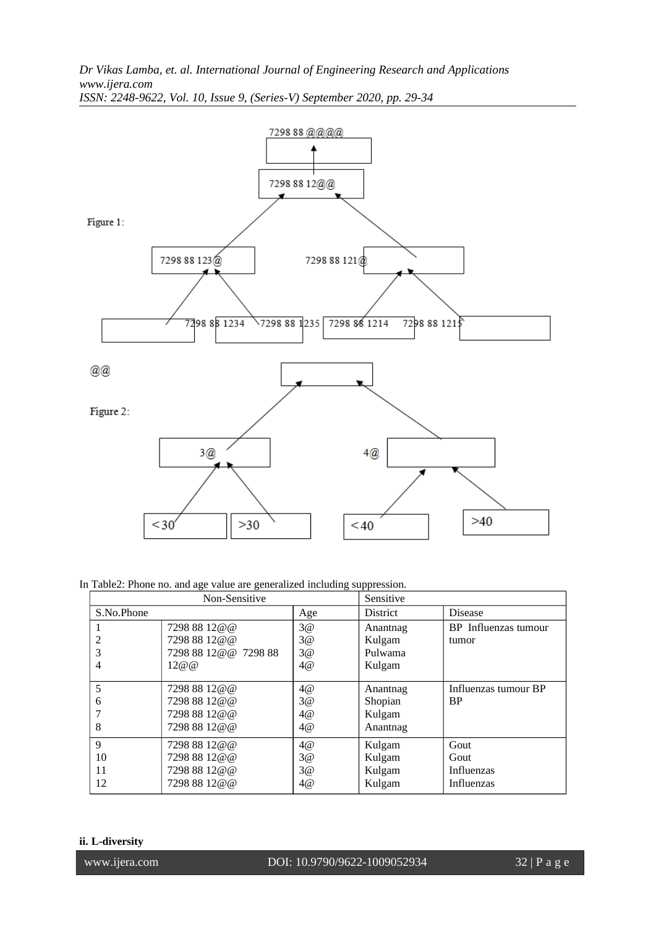

In Table2: Phone no. and age value are generalized including suppression.

| Non-Sensitive |                      |     | Sensitive       |                      |
|---------------|----------------------|-----|-----------------|----------------------|
| S.No.Phone    |                      | Age | <b>District</b> | <b>Disease</b>       |
|               | 7298 88 12@@         | 3@  | Anantnag        | BP Influenzas tumour |
|               | 7298 88 12@@         | 3@  | Kulgam          | tumor                |
| З             | 7298 88 12@@ 7298 88 | 3@  | Pulwama         |                      |
| 4             | 12@@                 | 4@  | Kulgam          |                      |
|               |                      |     |                 |                      |
| 5             | 7298 88 12@@         | 4@  | Anantnag        | Influenzas tumour BP |
| 6             | 7298 88 12@@         | 3@  | Shopian         | <b>BP</b>            |
|               | 7298 88 12@@         | 4@  | Kulgam          |                      |
| 8             | 7298 88 12@@         | 4@  | Anantnag        |                      |
| 9             | 7298 88 12@@         | 4@  | Kulgam          | Gout                 |
| 10            | 7298 88 12@@         | 3@  | Kulgam          | Gout                 |
| 11            | 7298 88 12@@         | 3@  | Kulgam          | Influenzas           |
| 12            | 7298 88 12@@         | 4@  | Kulgam          | Influenzas           |

#### **ii. L-diversity**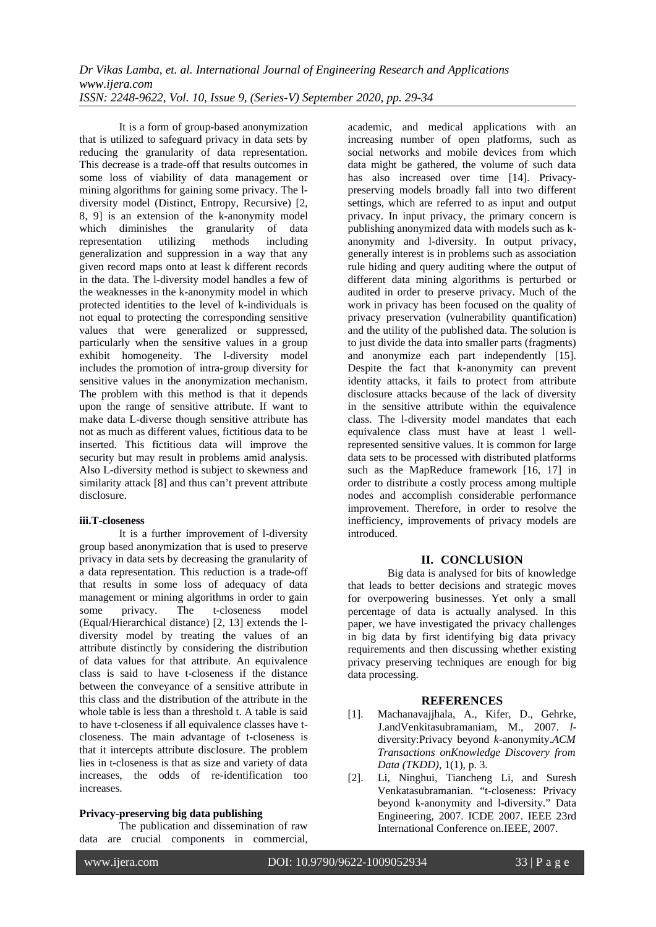It is a form of group-based anonymization that is utilized to safeguard privacy in data sets by reducing the granularity of data representation. This decrease is a trade-off that results outcomes in some loss of viability of data management or mining algorithms for gaining some privacy. The ldiversity model (Distinct, Entropy, Recursive) [2, 8, 9] is an extension of the k-anonymity model which diminishes the granularity of data representation utilizing methods including generalization and suppression in a way that any given record maps onto at least k different records in the data. The l-diversity model handles a few of the weaknesses in the k-anonymity model in which protected identities to the level of k-individuals is not equal to protecting the corresponding sensitive values that were generalized or suppressed, particularly when the sensitive values in a group exhibit homogeneity. The l-diversity model includes the promotion of intra-group diversity for sensitive values in the anonymization mechanism. The problem with this method is that it depends upon the range of sensitive attribute. If want to make data L-diverse though sensitive attribute has not as much as different values, fictitious data to be inserted. This fictitious data will improve the security but may result in problems amid analysis. Also L-diversity method is subject to skewness and similarity attack [8] and thus can't prevent attribute disclosure.

## **iii.T-closeness**

It is a further improvement of l-diversity group based anonymization that is used to preserve privacy in data sets by decreasing the granularity of a data representation. This reduction is a trade-off that results in some loss of adequacy of data management or mining algorithms in order to gain some privacy. The t-closeness model (Equal/Hierarchical distance) [2, 13] extends the ldiversity model by treating the values of an attribute distinctly by considering the distribution of data values for that attribute. An equivalence class is said to have t-closeness if the distance between the conveyance of a sensitive attribute in this class and the distribution of the attribute in the whole table is less than a threshold t. A table is said to have t-closeness if all equivalence classes have tcloseness. The main advantage of t-closeness is that it intercepts attribute disclosure. The problem lies in t-closeness is that as size and variety of data increases, the odds of re-identification too increases.

# **Privacy-preserving big data publishing**

The publication and dissemination of raw data are crucial components in commercial,

academic, and medical applications with an increasing number of open platforms, such as social networks and mobile devices from which data might be gathered, the volume of such data has also increased over time [14]. Privacypreserving models broadly fall into two different settings, which are referred to as input and output privacy. In input privacy, the primary concern is publishing anonymized data with models such as kanonymity and l-diversity. In output privacy, generally interest is in problems such as association rule hiding and query auditing where the output of different data mining algorithms is perturbed or audited in order to preserve privacy. Much of the work in privacy has been focused on the quality of privacy preservation (vulnerability quantification) and the utility of the published data. The solution is to just divide the data into smaller parts (fragments) and anonymize each part independently [15]. Despite the fact that k-anonymity can prevent identity attacks, it fails to protect from attribute disclosure attacks because of the lack of diversity in the sensitive attribute within the equivalence class. The l-diversity model mandates that each equivalence class must have at least l wellrepresented sensitive values. It is common for large data sets to be processed with distributed platforms such as the MapReduce framework [16, 17] in order to distribute a costly process among multiple nodes and accomplish considerable performance improvement. Therefore, in order to resolve the inefficiency, improvements of privacy models are introduced.

# **II. CONCLUSION**

Big data is analysed for bits of knowledge that leads to better decisions and strategic moves for overpowering businesses. Yet only a small percentage of data is actually analysed. In this paper, we have investigated the privacy challenges in big data by first identifying big data privacy requirements and then discussing whether existing privacy preserving techniques are enough for big data processing.

# **REFERENCES**

- [1]. Machanavajjhala, A., Kifer, D., Gehrke, J.andVenkitasubramaniam, M., 2007. *l*diversity:Privacy beyond *k*-anonymity.*ACM Transactions onKnowledge Discovery from Data (TKDD)*, 1(1), p. 3.
- [2]. Li, Ninghui, Tiancheng Li, and Suresh Venkatasubramanian. "t-closeness: Privacy beyond k-anonymity and l-diversity." Data Engineering, 2007. ICDE 2007. IEEE 23rd International Conference on.IEEE, 2007.